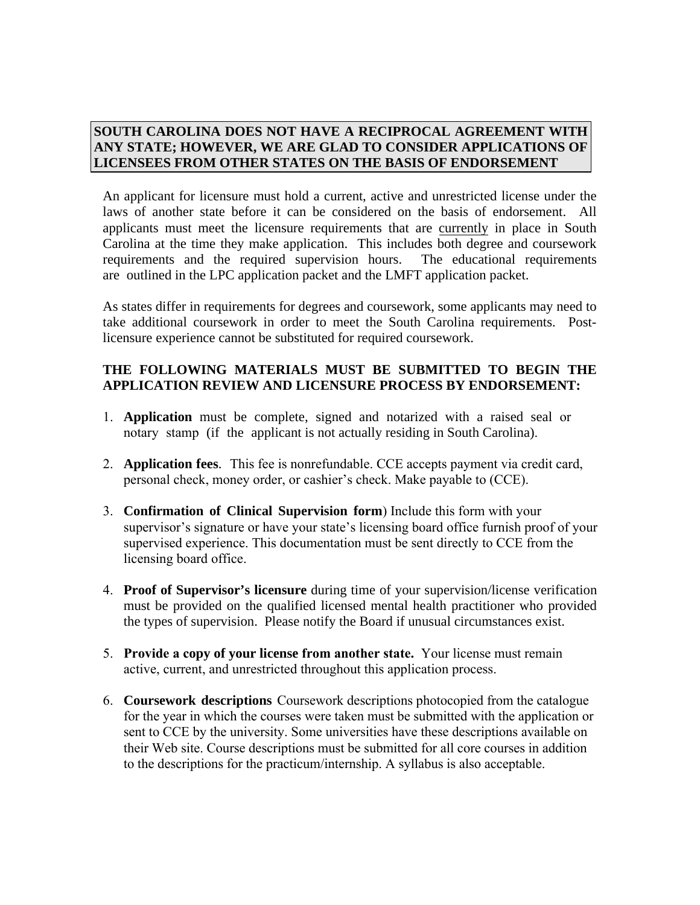## **SOUTH CAROLINA DOES NOT HAVE A RECIPROCAL AGREEMENT WITH ANY STATE; HOWEVER, WE ARE GLAD TO CONSIDER APPLICATIONS OF LICENSEES FROM OTHER STATES ON THE BASIS OF ENDORSEMENT**

An applicant for licensure must hold a current, active and unrestricted license under the laws of another state before it can be considered on the basis of endorsement. All applicants must meet the licensure requirements that are currently in place in South Carolina at the time they make application. This includes both degree and coursework requirements and the required supervision hours. The educational requirements are outlined in the LPC application packet and the LMFT application packet.

As states differ in requirements for degrees and coursework, some applicants may need to take additional coursework in order to meet the South Carolina requirements. Postlicensure experience cannot be substituted for required coursework.

## **THE FOLLOWING MATERIALS MUST BE SUBMITTED TO BEGIN THE APPLICATION REVIEW AND LICENSURE PROCESS BY ENDORSEMENT:**

- 1. **Application** must be complete, signed and notarized with a raised seal or notary stamp (if the applicant is not actually residing in South Carolina).
- 2. **Application fees**. This fee is nonrefundable. CCE accepts payment via credit card, personal check, money order, or cashier's check. Make payable to (CCE).
- 3. **Confirmation of Clinical Supervision form**) Include this form with your supervisor's signature or have your state's licensing board office furnish proof of your supervised experience. This documentation must be sent directly to CCE from the licensing board office.
- 4. **Proof of Supervisor's licensure** during time of your supervision/license verification must be provided on the qualified licensed mental health practitioner who provided the types of supervision. Please notify the Board if unusual circumstances exist.
- 5. **Provide a copy of your license from another state.** Your license must remain active, current, and unrestricted throughout this application process.
- 6. **Coursework descriptions** Coursework descriptions photocopied from the catalogue for the year in which the courses were taken must be submitted with the application or sent to CCE by the university. Some universities have these descriptions available on their Web site. Course descriptions must be submitted for all core courses in addition to the descriptions for the practicum/internship. A syllabus is also acceptable.